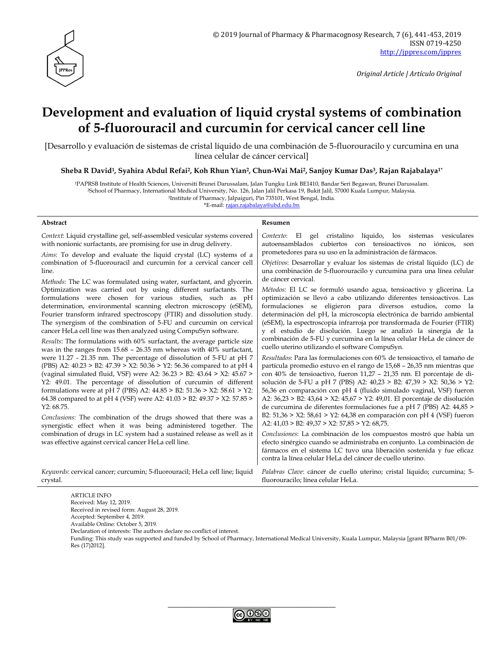

*Original Article | Artículo Original*

# **Development and evaluation of liquid crystal systems of combination of 5-fluorouracil and curcumin for cervical cancer cell line**

[Desarrollo y evaluación de sistemas de cristal líquido de una combinación de 5-fluorouracilo y curcumina en una línea celular de cáncer cervical]

**Sheba R David1, Syahira Abdul Refai2, Koh Rhun Yian2, Chun-Wai Mai2, Sanjoy Kumar Das3, Rajan Rajabalaya1\***

<sup>1</sup>PAPRSB Institute of Health Sciences, Universiti Brunei Darussalam, Jalan Tungku Link BE1410, Bandar Seri Begawan, Brunei Darussalam.

<sup>2</sup>School of Pharmacy, International Medical University, No. 126, Jalan Jalil Perkasa 19, Bukit Jalil, 57000 Kuala Lumpur, Malaysia.

<sup>3</sup>Institute of Pharmacy, Jalpaiguri, Pin 735101, West Bengal, India.

\*E-mail: [rajan.rajabalaya@ubd.edu.bn](mailto:rajan.rajabalaya@ubd.edu.bn)

#### **Abstract Resumen**

*Context*: Liquid crystalline gel, self-assembled vesicular systems covered with nonionic surfactants, are promising for use in drug delivery. *Aims*: To develop and evaluate the liquid crystal (LC) systems of a combination of 5-fluorouracil and curcumin for a cervical cancer cell line. *Methods*: The LC was formulated using water, surfactant, and glycerin. Optimization was carried out by using different surfactants. The formulations were chosen for various studies, such as pH determination, environmental scanning electron microscopy (eSEM), Fourier transform infrared spectroscopy (FTIR) and dissolution study. The synergism of the combination of 5-FU and curcumin on cervical cancer HeLa cell line was then analyzed using CompuSyn software. *Results*: The formulations with 60% surfactant, the average particle size was in the ranges from 15.68 – 26.35 nm whereas with 40% surfactant, were 11.27 - 21.35 nm. The percentage of dissolution of 5-FU at pH 7 (PBS) A2: 40.23 > B2: 47.39 > X2: 50.36 > Y2: 56.36 compared to at pH 4 (vaginal simulated fluid, VSF) were A2: 36.23 > B2: 43.64 > X2: 45.67 > Y2: 49.01. The percentage of dissolution of curcumin of different formulations were at pH 7 (PBS) A2: 44.85 > B2: 51.36 > X2: 58.61 > Y2: 64.38 compared to at pH 4 (VSF) were A2: 41.03 > B2: 49.37 > X2: 57.85 > Y2: 68.75. *Conclusions*: The combination of the drugs showed that there was a synergistic effect when it was being administered together. The combination of drugs in LC system had a sustained release as well as it was effective against cervical cancer HeLa cell line. *Contexto*: El gel cristalino líquido, los sistemas vesiculares autoensamblados cubiertos con tensioactivos no iónicos, son prometedores para su uso en la administración de fármacos. *Objetivos*: Desarrollar y evaluar los sistemas de cristal líquido (LC) de una combinación de 5-fluorouracilo y curcumina para una línea celular de cáncer cervical. *Métodos:* El LC se formuló usando agua, tensioactivo y glicerina. La optimización se llevó a cabo utilizando diferentes tensioactivos. Las formulaciones se eligieron para diversos estudios, como la determinación del pH, la microscopía electrónica de barrido ambiental (eSEM), la espectroscopía infrarroja por transformada de Fourier (FTIR) y el estudio de disolución. Luego se analizó la sinergia de la combinación de 5-FU y curcumina en la línea celular HeLa de cáncer de cuello uterino utilizando el software CompuSyn. *Resultados*: Para las formulaciones con 60% de tensioactivo, el tamaño de partícula promedio estuvo en el rango de 15,68 – 26,35 nm mientras que con 40% de tensioactivo, fueron 11,27 – 21,35 nm. El porcentaje de disolución de 5-FU a pH 7 (PBS) A2: 40,23 > B2: 47,39 > X2: 50,36 > Y2: 56,36 en comparación con pH 4 (fluido simulado vaginal, VSF) fueron A2: 36,23 > B2: 43,64 > X2: 45,67 > Y2: 49,01. El porcentaje de disolución de curcumina de diferentes formulaciones fue a pH 7 (PBS) A2: 44,85 > B2: 51,36 > X2: 58,61 > Y2: 64,38 en comparación con pH 4 (VSF) fueron A2: 41,03 > B2: 49,37 > X2: 57,85 > Y2: 68,75. *Conclusiones*: La combinación de los compuestos mostró que había un efecto sinérgico cuando se administraba en conjunto. La combinación de fármacos en el sistema LC tuvo una liberación sostenida y fue eficaz contra la línea celular HeLa del cáncer de cuello uterino. *Keywords*: cervical cancer; curcumin; 5-fluorouracil; HeLa cell line; liquid crystal. *Palabras Clave*: cáncer de cuello uterino; cristal líquido; curcumina; 5 fluorouracilo; línea celular HeLa.

ARTICLE INFO Received: May 12, 2019. Received in revised form: August 28, 2019.

Accepted: September 4, 2019.

Available Online: October 5, 2019.

Declaration of interests: The authors declare no conflict of interest.

Funding: This study was supported and funded by School of Pharmacy, International Medical University, Kuala Lumpur, Malaysia [grant BPharm B01/09- Res (17)2012].

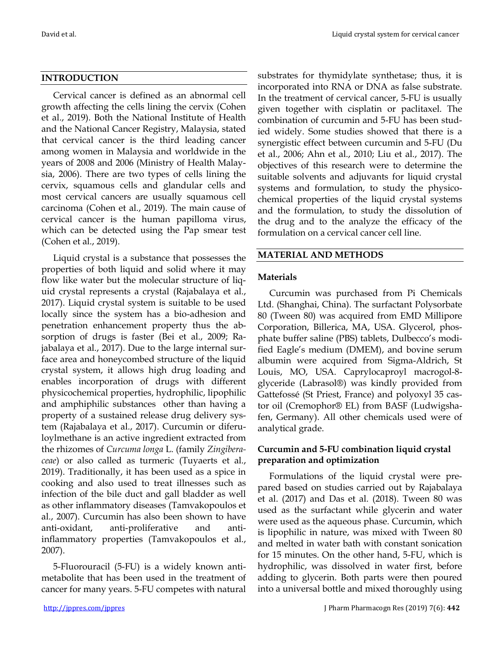# **INTRODUCTION**

Cervical cancer is defined as an abnormal cell growth affecting the cells lining the cervix (Cohen et al., 2019). Both the National Institute of Health and the National Cancer Registry, Malaysia, stated that cervical cancer is the third leading cancer among women in Malaysia and worldwide in the years of 2008 and 2006 (Ministry of Health Malaysia, 2006). There are two types of cells lining the cervix, squamous cells and glandular cells and most cervical cancers are usually squamous cell carcinoma (Cohen et al., 2019). The main cause of cervical cancer is the human papilloma virus, which can be detected using the Pap smear test (Cohen et al., 2019).

Liquid crystal is a substance that possesses the properties of both liquid and solid where it may flow like water but the molecular structure of liquid crystal represents a crystal (Rajabalaya et al., 2017). Liquid crystal system is suitable to be used locally since the system has a bio-adhesion and penetration enhancement property thus the absorption of drugs is faster (Bei et al., 2009; Rajabalaya et al., 2017). Due to the large internal surface area and honeycombed structure of the liquid crystal system, it allows high drug loading and enables incorporation of drugs with different physicochemical properties, hydrophilic, lipophilic and amphiphilic substances other than having a property of a sustained release drug delivery system (Rajabalaya et al., 2017). Curcumin or diferuloylmethane is an active ingredient extracted from the rhizomes of *Curcuma longa* L. (family *Zingiberaceae*) or also called as turmeric (Tuyaerts et al., 2019). Traditionally, it has been used as a spice in cooking and also used to treat illnesses such as infection of the bile duct and gall bladder as well as other inflammatory diseases (Tamvakopoulos et al., 2007). Curcumin has also been shown to have anti-oxidant, anti-proliferative and antiinflammatory properties (Tamvakopoulos et al., 2007).

5-Fluorouracil (5-FU) is a widely known antimetabolite that has been used in the treatment of cancer for many years. 5-FU competes with natural substrates for thymidylate synthetase; thus, it is incorporated into RNA or DNA as false substrate. In the treatment of cervical cancer, 5-FU is usually given together with cisplatin or paclitaxel. The combination of curcumin and 5-FU has been studied widely. Some studies showed that there is a synergistic effect between curcumin and 5-FU (Du et al., 2006; Ahn et al., 2010; Liu et al., 2017). The objectives of this research were to determine the suitable solvents and adjuvants for liquid crystal systems and formulation, to study the physicochemical properties of the liquid crystal systems and the formulation, to study the dissolution of the drug and to the analyze the efficacy of the formulation on a cervical cancer cell line.

# **MATERIAL AND METHODS**

# **Materials**

Curcumin was purchased from Pi Chemicals Ltd. (Shanghai, China). The surfactant Polysorbate 80 (Tween 80) was acquired from EMD Millipore Corporation, Billerica, MA, USA. Glycerol, phosphate buffer saline (PBS) tablets, Dulbecco's modified Eagle's medium (DMEM), and bovine serum albumin were acquired from Sigma-Aldrich, St Louis, MO, USA. Caprylocaproyl macrogol-8 glyceride (Labrasol®) was kindly provided from Gattefossé (St Priest, France) and polyoxyl 35 castor oil (Cremophor® EL) from BASF (Ludwigshafen, Germany). All other chemicals used were of analytical grade.

# **Curcumin and 5-FU combination liquid crystal preparation and optimization**

Formulations of the liquid crystal were prepared based on studies carried out by Rajabalaya et al. (2017) and Das et al. (2018). Tween 80 was used as the surfactant while glycerin and water were used as the aqueous phase. Curcumin, which is lipophilic in nature, was mixed with Tween 80 and melted in water bath with constant sonication for 15 minutes. On the other hand, 5-FU, which is hydrophilic, was dissolved in water first, before adding to glycerin. Both parts were then poured into a universal bottle and mixed thoroughly using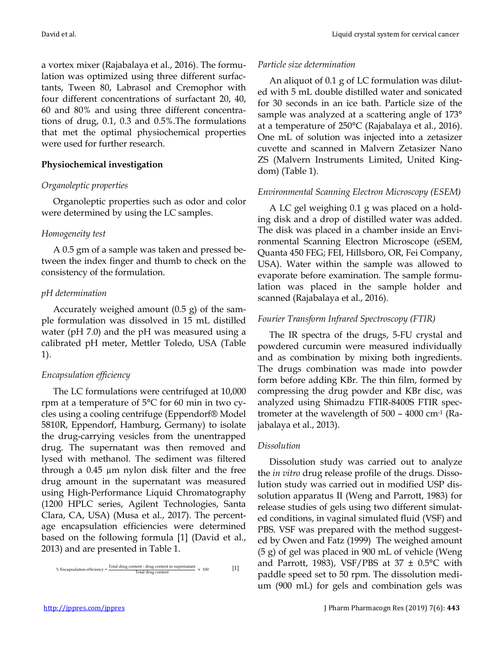a vortex mixer (Rajabalaya et al., 2016). The formulation was optimized using three different surfactants, Tween 80, Labrasol and Cremophor with four different concentrations of surfactant 20, 40, 60 and 80% and using three different concentrations of drug, 0.1, 0.3 and 0.5%.The formulations that met the optimal physiochemical properties were used for further research.

#### **Physiochemical investigation**

#### *Organoleptic properties*

Organoleptic properties such as odor and color were determined by using the LC samples.

#### *Homogeneity test*

A 0.5 gm of a sample was taken and pressed between the index finger and thumb to check on the consistency of the formulation.

#### *pH determination*

Accurately weighed amount (0.5 g) of the sample formulation was dissolved in 15 mL distilled water (pH 7.0) and the pH was measured using a calibrated pH meter, Mettler Toledo, USA (Table 1).

# *Encapsulation efficiency*

The LC formulations were centrifuged at 10,000 rpm at a temperature of 5°C for 60 min in two cycles using a cooling centrifuge (Eppendorf® Model 5810R, Eppendorf, Hamburg, Germany) to isolate the drug-carrying vesicles from the unentrapped drug. The supernatant was then removed and lysed with methanol. The sediment was filtered through a 0.45 µm nylon disk filter and the free drug amount in the supernatant was measured using High-Performance Liquid Chromatography (1200 HPLC series, Agilent Technologies, Santa Clara, CA, USA) (Musa et al., 2017). The percentage encapsulation efficiencies were determined based on the following formula [1] (David et al., 2013) and are presented in Table 1.

$$
\% Encapsulation efficiency = \frac{\text{Total drug content - drug content in supernatant}}{\text{Total drug content}} \times 100
$$
 [1]

#### *Particle size determination*

An aliquot of 0.1 g of LC formulation was diluted with 5 mL double distilled water and sonicated for 30 seconds in an ice bath. Particle size of the sample was analyzed at a scattering angle of 173° at a temperature of 250°C (Rajabalaya et al., 2016). One mL of solution was injected into a zetasizer cuvette and scanned in Malvern Zetasizer Nano ZS (Malvern Instruments Limited, United Kingdom) (Table 1).

#### *Environmental Scanning Electron Microscopy (ESEM)*

A LC gel weighing 0.1 g was placed on a holding disk and a drop of distilled water was added. The disk was placed in a chamber inside an Environmental Scanning Electron Microscope (eSEM, Quanta 450 FEG; FEI, Hillsboro, OR, Fei Company, USA). Water within the sample was allowed to evaporate before examination. The sample formulation was placed in the sample holder and scanned (Rajabalaya et al., 2016).

# *Fourier Transform Infrared Spectroscopy (FTIR)*

The IR spectra of the drugs, 5-FU crystal and powdered curcumin were measured individually and as combination by mixing both ingredients. The drugs combination was made into powder form before adding KBr. The thin film, formed by compressing the drug powder and KBr disc, was analyzed using Shimadzu FTIR-8400S FTIR spectrometer at the wavelength of  $500 - 4000$  cm<sup>-1</sup> (Rajabalaya et al., 2013).

#### *Dissolution*

Dissolution study was carried out to analyze the *in vitro* drug release profile of the drugs. Dissolution study was carried out in modified USP dissolution apparatus II (Weng and Parrott, 1983) for release studies of gels using two different simulated conditions, in vaginal simulated fluid (VSF) and PBS. VSF was prepared with the method suggested by Owen and Fatz (1999) The weighed amount (5 g) of gel was placed in 900 mL of vehicle (Weng and Parrott, 1983), VSF/PBS at  $37 \pm 0.5^{\circ}$ C with paddle speed set to 50 rpm. The dissolution medium (900 mL) for gels and combination gels was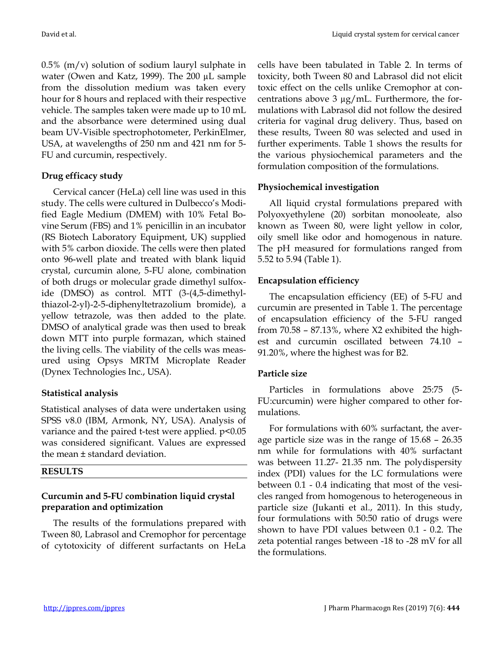0.5% (m/v) solution of sodium lauryl sulphate in water (Owen and Katz, 1999). The 200 µL sample from the dissolution medium was taken every hour for 8 hours and replaced with their respective vehicle. The samples taken were made up to 10 mL and the absorbance were determined using dual beam UV-Visible spectrophotometer, PerkinElmer, USA, at wavelengths of 250 nm and 421 nm for 5- FU and curcumin, respectively.

#### **Drug efficacy study**

Cervical cancer (HeLa) cell line was used in this study. The cells were cultured in Dulbecco's Modified Eagle Medium (DMEM) with 10% Fetal Bovine Serum (FBS) and 1% penicillin in an incubator (RS Biotech Laboratory Equipment, UK) supplied with 5% carbon dioxide. The cells were then plated onto 96-well plate and treated with blank liquid crystal, curcumin alone, 5-FU alone, combination of both drugs or molecular grade dimethyl sulfoxide (DMSO) as control. MTT (3-(4,5-dimethylthiazol-2-yl)-2-5-diphenyltetrazolium bromide), a yellow tetrazole, was then added to the plate. DMSO of analytical grade was then used to break down MTT into purple formazan, which stained the living cells. The viability of the cells was measured using Opsys MRTM Microplate Reader (Dynex Technologies Inc., USA).

# **Statistical analysis**

Statistical analyses of data were undertaken using SPSS v8.0 (IBM, Armonk, NY, USA). Analysis of variance and the paired t-test were applied. p<0.05 was considered significant. Values are expressed the mean ± standard deviation.

# **RESULTS**

# **Curcumin and 5-FU combination liquid crystal preparation and optimization**

The results of the formulations prepared with Tween 80, Labrasol and Cremophor for percentage of cytotoxicity of different surfactants on HeLa

cells have been tabulated in Table 2. In terms of toxicity, both Tween 80 and Labrasol did not elicit toxic effect on the cells unlike Cremophor at concentrations above 3 µg/mL. Furthermore, the formulations with Labrasol did not follow the desired criteria for vaginal drug delivery. Thus, based on these results, Tween 80 was selected and used in further experiments. Table 1 shows the results for the various physiochemical parameters and the formulation composition of the formulations.

# **Physiochemical investigation**

All liquid crystal formulations prepared with Polyoxyethylene (20) sorbitan monooleate, also known as Tween 80, were light yellow in color, oily smell like odor and homogenous in nature. The pH measured for formulations ranged from 5.52 to 5.94 (Table 1).

# **Encapsulation efficiency**

The encapsulation efficiency (EE) of 5-FU and curcumin are presented in Table 1. The percentage of encapsulation efficiency of the 5-FU ranged from 70.58 – 87.13%, where X2 exhibited the highest and curcumin oscillated between 74.10 – 91.20%, where the highest was for B2.

# **Particle size**

Particles in formulations above 25:75 (5- FU:curcumin) were higher compared to other formulations.

For formulations with 60% surfactant, the average particle size was in the range of 15.68 – 26.35 nm while for formulations with 40% surfactant was between 11.27- 21.35 nm. The polydispersity index (PDI) values for the LC formulations were between 0.1 - 0.4 indicating that most of the vesicles ranged from homogenous to heterogeneous in particle size (Jukanti et al., 2011). In this study, four formulations with 50:50 ratio of drugs were shown to have PDI values between 0.1 - 0.2. The zeta potential ranges between -18 to -28 mV for all the formulations.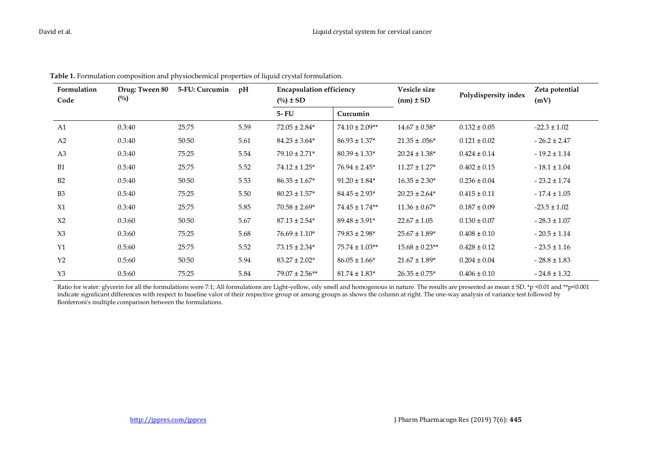| Formulation<br>Code | Drug: Tween 80<br>$\binom{0}{0}$ | 5-FU: Curcumin | pH   | <b>Encapsulation efficiency</b><br>$(^{0}/_{0}) \pm SD$ |                    | Vesicle size<br>$(nm) \pm SD$ | Polydispersity index | Zeta potential<br>(mV) |
|---------------------|----------------------------------|----------------|------|---------------------------------------------------------|--------------------|-------------------------------|----------------------|------------------------|
|                     |                                  |                |      | $5 - FU$                                                | Curcumin           |                               |                      |                        |
| A1                  | 0.3:40                           | 25:75          | 5.59 | $72.05 \pm 2.84*$                                       | $74.10 \pm 2.09**$ | $14.67 \pm 0.58$ *            | $0.132 \pm 0.05$     | $-22.3 \pm 1.02$       |
| A <sub>2</sub>      | 0.3:40                           | 50:50          | 5.61 | $84.23 \pm 3.64*$                                       | $86.93 \pm 1.37*$  | $21.35 \pm .056*$             | $0.121 \pm 0.02$     | $-26.2 \pm 2.47$       |
| A <sub>3</sub>      | 0.3:40                           | 75:25          | 5.54 | $79.10 \pm 2.71*$                                       | $80.39 \pm 1.33*$  | $20.24 \pm 1.38*$             | $0.424 \pm 0.14$     | $-19.2 \pm 1.14$       |
| B1                  | 0.5:40                           | 25:75          | 5.52 | $74.12 \pm 1.25$ *                                      | $76.94 \pm 2.45^*$ | $11.27 \pm 1.27$ *            | $0.402 \pm 0.15$     | $-18.1 \pm 1.04$       |
| B2                  | 0.5:40                           | 50:50          | 5.53 | $86.35 \pm 1.67*$                                       | $91.20 \pm 1.84*$  | $16.35 \pm 2.30*$             | $0.236 \pm 0.04$     | $-23.2 \pm 1.74$       |
| B <sub>3</sub>      | 0.5:40                           | 75:25          | 5.50 | $80.23 \pm 1.57*$                                       | $84.45 \pm 2.93*$  | $20.23 \pm 2.64*$             | $0.415 \pm 0.11$     | $-17.4 \pm 1.05$       |
| X1                  | 0.3:40                           | 25:75          | 5.85 | $70.58 \pm 2.69*$                                       | $74.45 \pm 1.74**$ | $11.36 \pm 0.67*$             | $0.187 \pm 0.09$     | $-23.5 \pm 1.02$       |
| X <sub>2</sub>      | 0.3:60                           | 50:50          | 5.67 | $87.13 \pm 2.54*$                                       | $89.48 \pm 3.91*$  | $22.67 \pm 1.05$              | $0.130 \pm 0.07$     | $-28.3 \pm 1.07$       |
| X3                  | 0.3:60                           | 75:25          | 5.68 | $76.69 \pm 1.10*$                                       | $79.83 \pm 2.98*$  | $25.67 \pm 1.89*$             | $0.408 \pm 0.10$     | $-20.5 \pm 1.14$       |
| Y1                  | 0.5:60                           | 25:75          | 5.52 | $73.15 \pm 2.34*$                                       | $75.74 \pm 1.03**$ | $15.68 \pm 0.23$ **           | $0.428 \pm 0.12$     | $-23.5 \pm 1.16$       |
| Y <sub>2</sub>      | 0.5:60                           | 50:50          | 5.94 | $83.27 \pm 2.02*$                                       | $86.05 \pm 1.66*$  | $21.67 \pm 1.89*$             | $0.204 \pm 0.04$     | $-28.8 \pm 1.83$       |
| Y3                  | 0.5:60                           | 75:25          | 5.84 | $79.07 \pm 2.56**$                                      | $81.74 \pm 1.83*$  | $26.35 \pm 0.75$ *            | $0.406 \pm 0.10$     | $-24.8 \pm 1.32$       |

**Table 1.** Formulation composition and physiochemical properties of liquid crystal formulation.

Ratio for water: glycerin for all the formulations were 7:1; All formulations are Light-yellow, oily smell and homogenous in nature. The results are presented as mean ± SD. \*p <0.01 and \*\*p<0.001 indicate significant differences with respect to baseline valor of their respective group or among groups as shows the column at right. The one-way analysis of variance test followed by Bonferroni's multiple comparison between the formulations.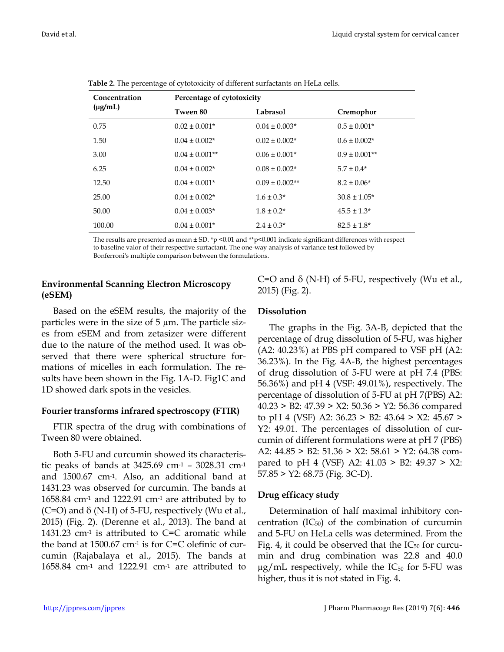| Concentration | Percentage of cytotoxicity |                    |                    |  |  |  |  |
|---------------|----------------------------|--------------------|--------------------|--|--|--|--|
| $(\mu g/mL)$  | Tween 80                   | Labrasol           | Cremophor          |  |  |  |  |
| 0.75          | $0.02 \pm 0.001*$          | $0.04 \pm 0.003*$  | $0.5 \pm 0.001*$   |  |  |  |  |
| 1.50          | $0.04 \pm 0.002*$          | $0.02 \pm 0.002*$  | $0.6 \pm 0.002*$   |  |  |  |  |
| 3.00          | $0.04 \pm 0.001**$         | $0.06 \pm 0.001*$  | $0.9 \pm 0.001$ ** |  |  |  |  |
| 6.25          | $0.04 \pm 0.002*$          | $0.08 \pm 0.002*$  | $5.7 \pm 0.4*$     |  |  |  |  |
| 12.50         | $0.04 \pm 0.001*$          | $0.09 \pm 0.002**$ | $8.2 \pm 0.06*$    |  |  |  |  |
| 25.00         | $0.04 \pm 0.002*$          | $1.6 \pm 0.3*$     | $30.8 \pm 1.05*$   |  |  |  |  |
| 50.00         | $0.04 \pm 0.003*$          | $1.8 \pm 0.2^*$    | $45.5 \pm 1.3^*$   |  |  |  |  |
| 100.00        | $0.04 \pm 0.001*$          | $2.4 \pm 0.3*$     | $82.5 \pm 1.8^*$   |  |  |  |  |

**Table 2.** The percentage of cytotoxicity of different surfactants on HeLa cells.

The results are presented as mean  $\pm$  SD. \*p <0.01 and \*\*p<0.001 indicate significant differences with respect to baseline valor of their respective surfactant. The one-way analysis of variance test followed by Bonferroni's multiple comparison between the formulations.

# **Environmental Scanning Electron Microscopy (eSEM)**

Based on the eSEM results, the majority of the particles were in the size of  $5 \mu m$ . The particle sizes from eSEM and from zetasizer were different due to the nature of the method used. It was observed that there were spherical structure formations of micelles in each formulation. The results have been shown in the Fig. 1A-D. Fig1C and 1D showed dark spots in the vesicles.

# **Fourier transforms infrared spectroscopy (FTIR)**

FTIR spectra of the drug with combinations of Tween 80 were obtained.

Both 5-FU and curcumin showed its characteristic peaks of bands at  $3425.69$  cm<sup>-1</sup> –  $3028.31$  cm<sup>-1</sup> and 1500.67 cm-1. Also, an additional band at 1431.23 was observed for curcumin. The bands at 1658.84 cm<sup>-1</sup> and 1222.91 cm<sup>-1</sup> are attributed by to  $(C=O)$  and  $\delta$  (N-H) of 5-FU, respectively (Wu et al., 2015) (Fig. 2). (Derenne et al., 2013). The band at 1431.23  $cm<sup>-1</sup>$  is attributed to C=C aromatic while the band at 1500.67 cm-1 is for C=C olefinic of curcumin (Rajabalaya et al., 2015). The bands at 1658.84 cm<sup>-1</sup> and 1222.91 cm<sup>-1</sup> are attributed to

C=O and  $\delta$  (N-H) of 5-FU, respectively (Wu et al., 2015) (Fig. 2).

# **Dissolution**

The graphs in the Fig. 3A-B, depicted that the percentage of drug dissolution of 5-FU, was higher  $(A2: 40.23%)$  at PBS pH compared to VSF pH  $(A2: 40.23%)$ 36.23%). In the Fig. 4A-B, the highest percentages of drug dissolution of 5-FU were at pH 7.4 (PBS: 56.36%) and pH 4 (VSF: 49.01%), respectively. The percentage of dissolution of 5-FU at pH 7(PBS) A2: 40.23 > B2: 47.39 > X2: 50.36 > Y2: 56.36 compared to pH 4 (VSF) A2: 36.23 > B2: 43.64 > X2: 45.67 > Y2: 49.01. The percentages of dissolution of curcumin of different formulations were at pH 7 (PBS) A2: 44.85 > B2: 51.36 > X2: 58.61 > Y2: 64.38 compared to pH 4 (VSF) A2:  $41.03 > B2$ :  $49.37 > X2$ : 57.85 > Y2: 68.75 (Fig. 3C-D).

# **Drug efficacy study**

Determination of half maximal inhibitory concentration  $(IC_{50})$  of the combination of curcumin and 5-FU on HeLa cells was determined. From the Fig. 4, it could be observed that the  $IC_{50}$  for curcumin and drug combination was 22.8 and 40.0  $\mu$ g/mL respectively, while the IC<sub>50</sub> for 5-FU was higher, thus it is not stated in Fig. 4.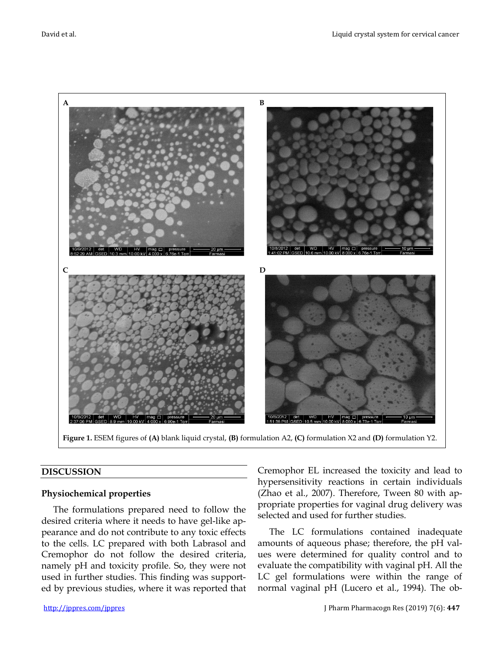

**Figure 1.** ESEM figures of **(A)** blank liquid crystal, **(B)** formulation A2, **(C)** formulation X2 and **(D)** formulation Y2.

#### **DISCUSSION**

#### **Physiochemical properties**

The formulations prepared need to follow the desired criteria where it needs to have gel-like appearance and do not contribute to any toxic effects to the cells. LC prepared with both Labrasol and Cremophor do not follow the desired criteria, namely pH and toxicity profile. So, they were not used in further studies. This finding was supported by previous studies, where it was reported that Cremophor EL increased the toxicity and lead to hypersensitivity reactions in certain individuals (Zhao et al., 2007). Therefore, Tween 80 with appropriate properties for vaginal drug delivery was selected and used for further studies.

The LC formulations contained inadequate amounts of aqueous phase; therefore, the pH values were determined for quality control and to evaluate the compatibility with vaginal pH. All the LC gel formulations were within the range of normal vaginal pH (Lucero et al., 1994). The ob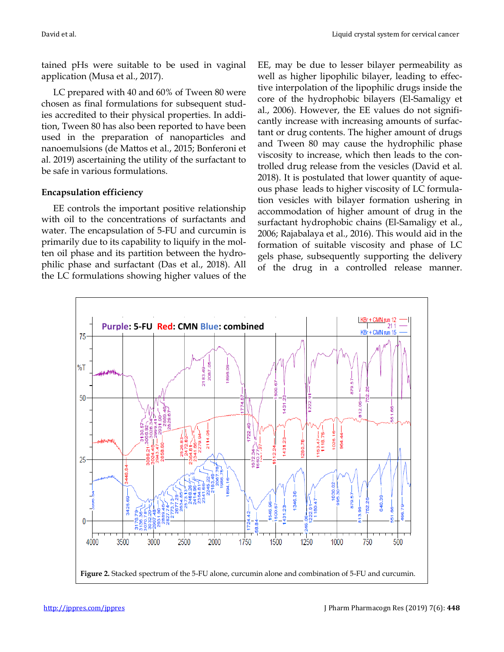tained pHs were suitable to be used in vaginal application (Musa et al., 2017).

LC prepared with 40 and 60% of Tween 80 were chosen as final formulations for subsequent studies accredited to their physical properties. In addition, Tween 80 has also been reported to have been used in the preparation of nanoparticles and nanoemulsions (de Mattos et al., 2015; Bonferoni et al. 2019) ascertaining the utility of the surfactant to be safe in various formulations.

# **Encapsulation efficiency**

EE controls the important positive relationship with oil to the concentrations of surfactants and water. The encapsulation of 5-FU and curcumin is primarily due to its capability to liquify in the molten oil phase and its partition between the hydrophilic phase and surfactant (Das et al., 2018). All the LC formulations showing higher values of the EE, may be due to lesser bilayer permeability as well as higher lipophilic bilayer, leading to effective interpolation of the lipophilic drugs inside the core of the hydrophobic bilayers (El-Samaligy et al., 2006). However, the EE values do not significantly increase with increasing amounts of surfactant or drug contents. The higher amount of drugs and Tween 80 may cause the hydrophilic phase viscosity to increase, which then leads to the controlled drug release from the vesicles (David et al. 2018). It is postulated that lower quantity of aqueous phase leads to higher viscosity of LC formulation vesicles with bilayer formation ushering in accommodation of higher amount of drug in the surfactant hydrophobic chains (El-Samaligy et al., 2006; Rajabalaya et al., 2016). This would aid in the formation of suitable viscosity and phase of LC gels phase, subsequently supporting the delivery of the drug in a controlled release manner.

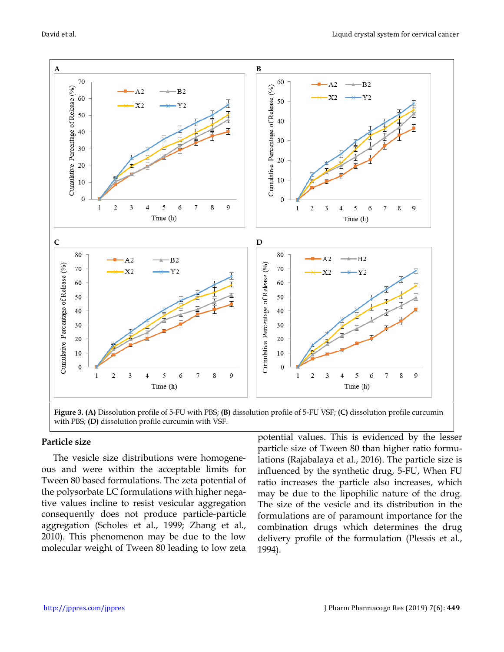

**Figure 3. (A)** Dissolution profile of 5-FU with PBS; **(B)** dissolution profile of 5-FU VSF; **(C)** dissolution profile curcumin with PBS; **(D)** dissolution profile curcumin with VSF.

#### **Particle size**

The vesicle size distributions were homogeneous and were within the acceptable limits for Tween 80 based formulations. The zeta potential of the polysorbate LC formulations with higher negative values incline to resist vesicular aggregation consequently does not produce particle-particle aggregation (Scholes et al., 1999; Zhang et al., 2010). This phenomenon may be due to the low molecular weight of Tween 80 leading to low zeta potential values. This is evidenced by the lesser particle size of Tween 80 than higher ratio formulations (Rajabalaya et al., 2016). The particle size is influenced by the synthetic drug, 5-FU, When FU ratio increases the particle also increases, which may be due to the lipophilic nature of the drug. The size of the vesicle and its distribution in the formulations are of paramount importance for the combination drugs which determines the drug delivery profile of the formulation (Plessis et al., 1994).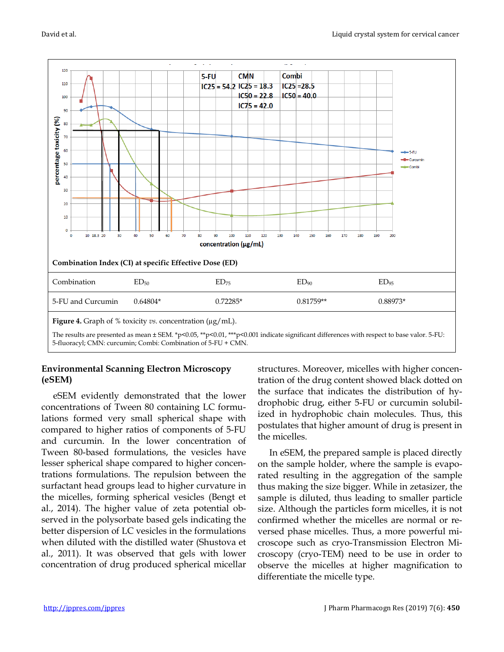

# **Environmental Scanning Electron Microscopy (eSEM)**

eSEM evidently demonstrated that the lower concentrations of Tween 80 containing LC formulations formed very small spherical shape with compared to higher ratios of components of 5-FU and curcumin. In the lower concentration of Tween 80-based formulations, the vesicles have lesser spherical shape compared to higher concentrations formulations. The repulsion between the surfactant head groups lead to higher curvature in the micelles, forming spherical vesicles (Bengt et al., 2014). The higher value of zeta potential observed in the polysorbate based gels indicating the better dispersion of LC vesicles in the formulations when diluted with the distilled water (Shustova et al., 2011). It was observed that gels with lower concentration of drug produced spherical micellar structures. Moreover, micelles with higher concentration of the drug content showed black dotted on the surface that indicates the distribution of hydrophobic drug, either 5-FU or curcumin solubilized in hydrophobic chain molecules. Thus, this postulates that higher amount of drug is present in the micelles.

In eSEM, the prepared sample is placed directly on the sample holder, where the sample is evaporated resulting in the aggregation of the sample thus making the size bigger. While in zetasizer, the sample is diluted, thus leading to smaller particle size. Although the particles form micelles, it is not confirmed whether the micelles are normal or reversed phase micelles. Thus, a more powerful microscope such as cryo-Transmission Electron Microscopy (cryo-TEM) need to be use in order to observe the micelles at higher magnification to differentiate the micelle type.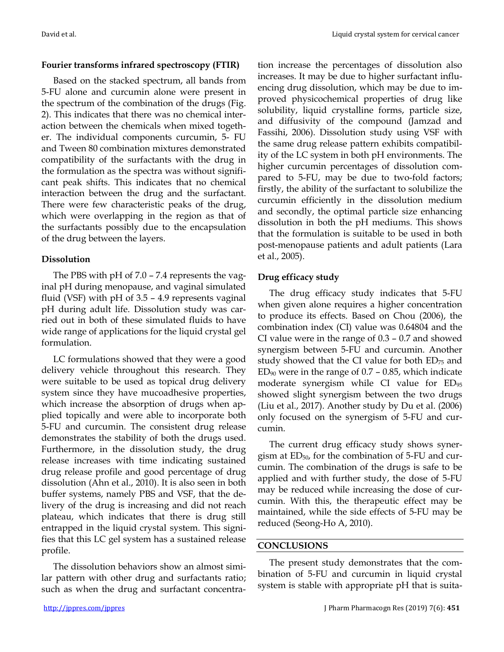# **Fourier transforms infrared spectroscopy (FTIR)**

Based on the stacked spectrum, all bands from 5-FU alone and curcumin alone were present in the spectrum of the combination of the drugs (Fig. 2). This indicates that there was no chemical interaction between the chemicals when mixed together. The individual components curcumin, 5- FU and Tween 80 combination mixtures demonstrated compatibility of the surfactants with the drug in the formulation as the spectra was without significant peak shifts. This indicates that no chemical interaction between the drug and the surfactant. There were few characteristic peaks of the drug, which were overlapping in the region as that of the surfactants possibly due to the encapsulation of the drug between the layers.

# **Dissolution**

The PBS with pH of 7.0 – 7.4 represents the vaginal pH during menopause, and vaginal simulated fluid (VSF) with pH of 3.5 – 4.9 represents vaginal pH during adult life. Dissolution study was carried out in both of these simulated fluids to have wide range of applications for the liquid crystal gel formulation.

LC formulations showed that they were a good delivery vehicle throughout this research. They were suitable to be used as topical drug delivery system since they have mucoadhesive properties, which increase the absorption of drugs when applied topically and were able to incorporate both 5-FU and curcumin. The consistent drug release demonstrates the stability of both the drugs used. Furthermore, in the dissolution study, the drug release increases with time indicating sustained drug release profile and good percentage of drug dissolution (Ahn et al., 2010). It is also seen in both buffer systems, namely PBS and VSF, that the delivery of the drug is increasing and did not reach plateau, which indicates that there is drug still entrapped in the liquid crystal system. This signifies that this LC gel system has a sustained release profile.

The dissolution behaviors show an almost similar pattern with other drug and surfactants ratio; such as when the drug and surfactant concentration increase the percentages of dissolution also increases. It may be due to higher surfactant influencing drug dissolution, which may be due to improved physicochemical properties of drug like solubility, liquid crystalline forms, particle size, and diffusivity of the compound (Jamzad and Fassihi, 2006). Dissolution study using VSF with the same drug release pattern exhibits compatibility of the LC system in both pH environments. The higher curcumin percentages of dissolution compared to 5-FU, may be due to two-fold factors; firstly, the ability of the surfactant to solubilize the curcumin efficiently in the dissolution medium and secondly, the optimal particle size enhancing dissolution in both the pH mediums. This shows that the formulation is suitable to be used in both post-menopause patients and adult patients (Lara et al., 2005).

# **Drug efficacy study**

The drug efficacy study indicates that 5-FU when given alone requires a higher concentration to produce its effects. Based on Chou (2006), the combination index (CI) value was 0.64804 and the CI value were in the range of 0.3 – 0.7 and showed synergism between 5-FU and curcumin. Another study showed that the CI value for both  $ED_{75}$  and  $ED_{90}$  were in the range of 0.7 – 0.85, which indicate moderate synergism while CI value for ED<sup>95</sup> showed slight synergism between the two drugs (Liu et al., 2017). Another study by Du et al. (2006) only focused on the synergism of 5-FU and curcumin.

The current drug efficacy study shows synergism at ED<sub>50</sub>, for the combination of 5-FU and curcumin. The combination of the drugs is safe to be applied and with further study, the dose of 5-FU may be reduced while increasing the dose of curcumin. With this, the therapeutic effect may be maintained, while the side effects of 5-FU may be reduced (Seong-Ho A, 2010).

# **CONCLUSIONS**

The present study demonstrates that the combination of 5-FU and curcumin in liquid crystal system is stable with appropriate pH that is suita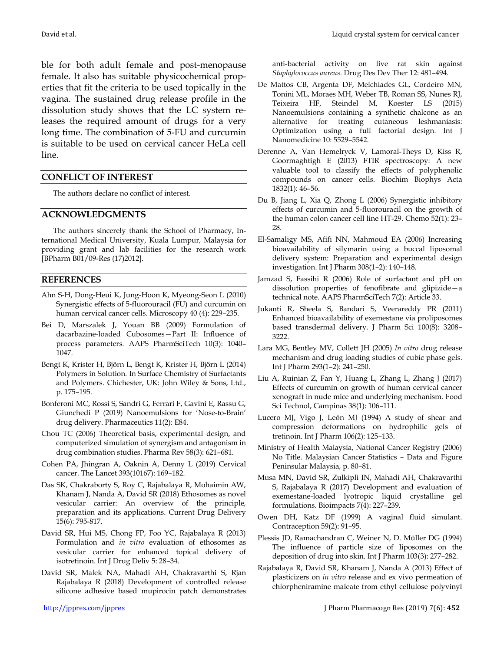ble for both adult female and post-menopause female. It also has suitable physicochemical properties that fit the criteria to be used topically in the vagina. The sustained drug release profile in the dissolution study shows that the LC system releases the required amount of drugs for a very long time. The combination of 5-FU and curcumin is suitable to be used on cervical cancer HeLa cell line.

#### **CONFLICT OF INTEREST**

The authors declare no conflict of interest.

#### **ACKNOWLEDGMENTS**

The authors sincerely thank the School of Pharmacy, International Medical University, Kuala Lumpur, Malaysia for providing grant and lab facilities for the research work [BPharm B01/09-Res (17)2012].

#### **REFERENCES**

- Ahn S-H, Dong-Heui K, Jung-Hoon K, Myeong-Seon L (2010) Synergistic effects of 5-fluorouracil (FU) and curcumin on human cervical cancer cells. Microscopy 40 (4): 229–235.
- Bei D, Marszalek J, Youan BB (2009) Formulation of dacarbazine-loaded Cubosomes—Part II: Influence of process parameters. AAPS PharmSciTech 10(3): 1040– 1047.
- Bengt K, Krister H, Björn L, Bengt K, Krister H, Björn L (2014) Polymers in Solution. In Surface Chemistry of Surfactants and Polymers. Chichester, UK: John Wiley & Sons, Ltd., p. 175–195.
- Bonferoni MC, Rossi S, Sandri G, Ferrari F, Gavini E, Rassu G, Giunchedi P (2019) Nanoemulsions for 'Nose-to-Brain' drug delivery. Pharmaceutics 11(2): E84.
- Chou TC (2006) Theoretical basis, experimental design, and computerized simulation of synergism and antagonism in drug combination studies. Pharma Rev 58(3): 621–681.
- Cohen PA, Jhingran A, Oaknin A, Denny L (2019) Cervical cancer. The Lancet 393(10167): 169–182.
- Das SK, Chakraborty S, Roy C, Rajabalaya R, Mohaimin AW, Khanam J, Nanda A, David SR (2018) Ethosomes as novel vesicular carrier: An overview of the principle, preparation and its applications. Current Drug Delivery 15(6): 795-817.
- David SR, Hui MS, Chong FP, Foo YC, Rajabalaya R (2013) Formulation and *in vitro* evaluation of ethosomes as vesicular carrier for enhanced topical delivery of isotretinoin. Int J Drug Deliv 5: 28–34.
- David SR, Malek NA, Mahadi AH, Chakravarthi S, Rjan Rajabalaya R (2018) Development of controlled release silicone adhesive based mupirocin patch demonstrates

anti-bacterial activity on live rat skin against *Staphylococcus aureus*. Drug Des Dev Ther 12: 481–494.

- De Mattos CB, Argenta DF, Melchiades GL, Cordeiro MN, Tonini ML, Moraes MH, Weber TB, Roman SS, Nunes RJ, Teixeira HF, Steindel M, Koester LS (2015) Nanoemulsions containing a synthetic chalcone as an alternative for treating cutaneous leshmaniasis: Optimization using a full factorial design. Int J Nanomedicine 10: 5529–5542.
- Derenne A, Van Hemelryck V, Lamoral-Theys D, Kiss R, Goormaghtigh E (2013) FTIR spectroscopy: A new valuable tool to classify the effects of polyphenolic compounds on cancer cells. Biochim Biophys Acta 1832(1): 46–56.
- Du B, Jiang L, Xia Q, Zhong L (2006) Synergistic inhibitory effects of curcumin and 5-fluorouracil on the growth of the human colon cancer cell line HT-29. Chemo 52(1): 23– 28.
- El-Samaligy MS, Afifi NN, Mahmoud EA (2006) Increasing bioavailability of silymarin using a buccal liposomal delivery system: Preparation and experimental design investigation. Int J Pharm 308(1–2): 140–148.
- Jamzad S, Fassihi R (2006) Role of surfactant and pH on dissolution properties of fenofibrate and glipizide—a technical note. AAPS PharmSciTech 7(2): Article 33.
- Jukanti R, Sheela S, Bandari S, Veerareddy PR (2011) Enhanced bioavailability of exemestane via proliposomes based transdermal delivery. J Pharm Sci 100(8): 3208– 3222.
- Lara MG, Bentley MV, Collett JH (2005) *In vitro* drug release mechanism and drug loading studies of cubic phase gels. Int J Pharm 293(1–2): 241–250.
- Liu A, Ruinian Z, Fan Y, Huang L, Zhang L, Zhang J (2017) Effects of curcumin on growth of human cervical cancer xenograft in nude mice and underlying mechanism. Food Sci Technol, Campinas 38(1): 106–111.
- Lucero MJ, Vigo J, León MJ (1994) A study of shear and compression deformations on hydrophilic gels of tretinoin. Int J Pharm 106(2): 125–133.
- Ministry of Health Malaysia, National Cancer Registry (2006) No Title. Malaysian Cancer Statistics – Data and Figure Peninsular Malaysia, p. 80–81.
- Musa MN, David SR, Zulkipli IN, Mahadi AH, Chakravarthi S, Rajabalaya R (2017) Development and evaluation of exemestane-loaded lyotropic liquid crystalline gel formulations. Bioimpacts 7(4): 227–239.
- Owen DH, Katz DF (1999) A vaginal fluid simulant. Contraception 59(2): 91–95.
- Plessis JD, Ramachandran C, Weiner N, D. Müller DG (1994) The influence of particle size of liposomes on the deposition of drug into skin. Int J Pharm 103(3): 277–282.
- Rajabalaya R, David SR, Khanam J, Nanda A (2013) Effect of plasticizers on *in vitro* release and ex vivo permeation of chlorpheniramine maleate from ethyl cellulose polyvinyl